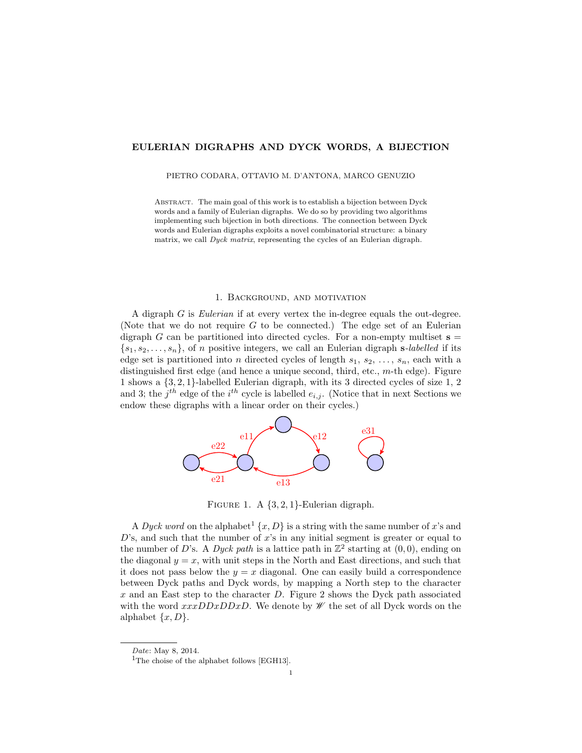## EULERIAN DIGRAPHS AND DYCK WORDS, A BIJECTION

#### PIETRO CODARA, OTTAVIO M. D'ANTONA, MARCO GENUZIO

Abstract. The main goal of this work is to establish a bijection between Dyck words and a family of Eulerian digraphs. We do so by providing two algorithms implementing such bijection in both directions. The connection between Dyck words and Eulerian digraphs exploits a novel combinatorial structure: a binary matrix, we call Dyck matrix, representing the cycles of an Eulerian digraph.

## 1. Background, and motivation

A digraph G is Eulerian if at every vertex the in-degree equals the out-degree. (Note that we do not require  $G$  to be connected.) The edge set of an Eulerian digraph G can be partitioned into directed cycles. For a non-empty multiset  $s =$  $\{s_1, s_2, \ldots, s_n\},$  of n positive integers, we call an Eulerian digraph s-labelled if its edge set is partitioned into n directed cycles of length  $s_1, s_2, \ldots, s_n$ , each with a distinguished first edge (and hence a unique second, third, etc., m-th edge). Figure 1 shows a {3, 2, 1}-labelled Eulerian digraph, with its 3 directed cycles of size 1, 2 and 3; the  $j^{th}$  edge of the  $i^{th}$  cycle is labelled  $e_{i,j}$ . (Notice that in next Sections we endow these digraphs with a linear order on their cycles.)



FIGURE 1. A  $\{3, 2, 1\}$ -Eulerian digraph.

A Dyck word on the alphabet<sup>1</sup>  $\{x, D\}$  is a string with the same number of x's and  $D$ 's, and such that the number of  $x$ 's in any initial segment is greater or equal to the number of D's. A Dyck path is a lattice path in  $\mathbb{Z}^2$  starting at  $(0,0)$ , ending on the diagonal  $y = x$ , with unit steps in the North and East directions, and such that it does not pass below the  $y = x$  diagonal. One can easily build a correspondence between Dyck paths and Dyck words, by mapping a North step to the character x and an East step to the character  $D$ . Figure 2 shows the Dyck path associated with the word  $xxxDDxDDxD$ . We denote by  $\mathscr W$  the set of all Dyck words on the alphabet  $\{x, D\}$ .

Date: May 8, 2014.

<sup>&</sup>lt;sup>1</sup>The choise of the alphabet follows [EGH13].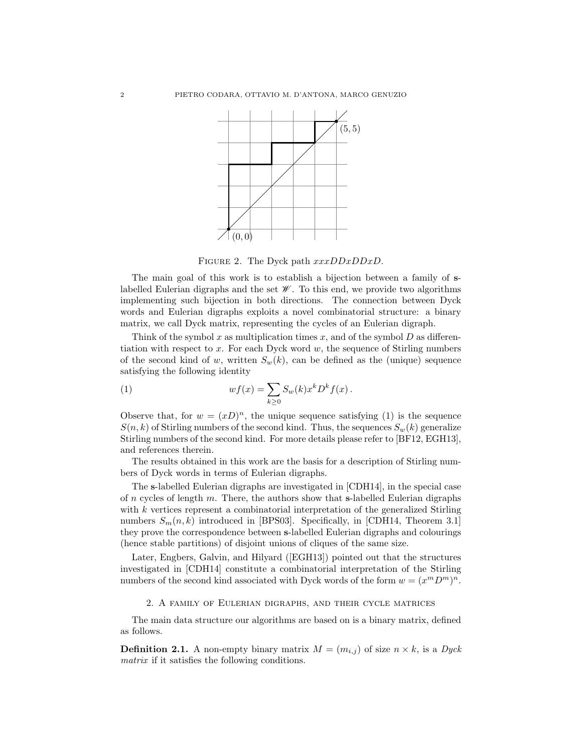

FIGURE 2. The Dyck path  $xxxDDxDDxD$ .

The main goal of this work is to establish a bijection between a family of slabelled Eulerian digraphs and the set  $\mathscr W$ . To this end, we provide two algorithms implementing such bijection in both directions. The connection between Dyck words and Eulerian digraphs exploits a novel combinatorial structure: a binary matrix, we call Dyck matrix, representing the cycles of an Eulerian digraph.

Think of the symbol x as multiplication times x, and of the symbol  $D$  as differentiation with respect to x. For each Dyck word  $w$ , the sequence of Stirling numbers of the second kind of w, written  $S_w(k)$ , can be defined as the (unique) sequence satisfying the following identity

(1) 
$$
wf(x) = \sum_{k\geq 0} S_w(k) x^k D^k f(x).
$$

Observe that, for  $w = (xD)^n$ , the unique sequence satisfying (1) is the sequence  $S(n, k)$  of Stirling numbers of the second kind. Thus, the sequences  $S_w(k)$  generalize Stirling numbers of the second kind. For more details please refer to [BF12, EGH13], and references therein.

The results obtained in this work are the basis for a description of Stirling numbers of Dyck words in terms of Eulerian digraphs.

The s-labelled Eulerian digraphs are investigated in [CDH14], in the special case of n cycles of length m. There, the authors show that s-labelled Eulerian digraphs with  $k$  vertices represent a combinatorial interpretation of the generalized Stirling numbers  $S_m(n, k)$  introduced in [BPS03]. Specifically, in [CDH14, Theorem 3.1] they prove the correspondence between s-labelled Eulerian digraphs and colourings (hence stable partitions) of disjoint unions of cliques of the same size.

Later, Engbers, Galvin, and Hilyard ([EGH13]) pointed out that the structures investigated in [CDH14] constitute a combinatorial interpretation of the Stirling numbers of the second kind associated with Dyck words of the form  $w = (x^m D^m)^n$ .

# 2. A family of Eulerian digraphs, and their cycle matrices

The main data structure our algorithms are based on is a binary matrix, defined as follows.

**Definition 2.1.** A non-empty binary matrix  $M = (m_{i,j})$  of size  $n \times k$ , is a Dyck matrix if it satisfies the following conditions.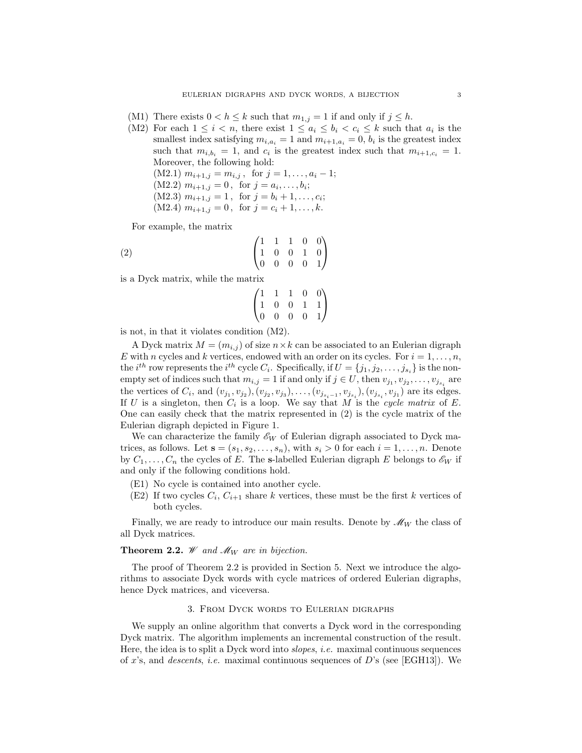- (M1) There exists  $0 < h \leq k$  such that  $m_{1,j} = 1$  if and only if  $j \leq h$ .
- (M2) For each  $1 \leq i < n$ , there exist  $1 \leq a_i \leq b_i < c_i \leq k$  such that  $a_i$  is the smallest index satisfying  $m_{i,a_i} = 1$  and  $m_{i+1,a_i} = 0$ ,  $b_i$  is the greatest index such that  $m_{i,b_i} = 1$ , and  $c_i$  is the greatest index such that  $m_{i+1,c_i} = 1$ . Moreover, the following hold:  $(M2.1)$   $m_{i+1,j} = m_{i,j}$ , for  $j = 1, ..., a_i - 1;$  $(M2.2)$   $m_{i+1,j} = 0$ , for  $j = a_i, \ldots, b_i;$  $(M2.3)$   $m_{i+1,j} = 1$ , for  $j = b_i + 1, ..., c_i;$ (M2.4)  $m_{i+1,j} = 0$ , for  $j = c_i + 1, ..., k$ .

For example, the matrix

$$
\begin{pmatrix}\n1 & 1 & 1 & 0 & 0 \\
1 & 0 & 0 & 1 & 0 \\
0 & 0 & 0 & 0 & 1\n\end{pmatrix}
$$

is a Dyck matrix, while the matrix

$$
\begin{pmatrix}\n1 & 1 & 1 & 0 & 0 \\
1 & 0 & 0 & 1 & 1 \\
0 & 0 & 0 & 0 & 1\n\end{pmatrix}
$$

is not, in that it violates condition (M2).

A Dyck matrix  $M = (m_{i,j})$  of size  $n \times k$  can be associated to an Eulerian digraph E with n cycles and k vertices, endowed with an order on its cycles. For  $i = 1, \ldots, n$ , the *i*<sup>th</sup> row represents the *i*<sup>th</sup> cycle  $C_i$ . Specifically, if  $U = \{j_1, j_2, \ldots, j_{s_i}\}$  is the nonempty set of indices such that  $m_{i,j} = 1$  if and only if  $j \in U$ , then  $v_{j_1}, v_{j_2}, \ldots, v_{j_{s_i}}$  are the vertices of  $C_i$ , and  $(v_{j_1}, v_{j_2})$ ,  $(v_{j_2}, v_{j_3})$ , ...,  $(v_{j_{s_i-1}}, v_{j_{s_i}})$ ,  $(v_{j_{s_i}}, v_{j_1})$  are its edges. If U is a singleton, then  $C_i$  is a loop. We say that M is the cycle matrix of E. One can easily check that the matrix represented in (2) is the cycle matrix of the Eulerian digraph depicted in Figure 1.

We can characterize the family  $\mathscr{E}_W$  of Eulerian digraph associated to Dyck matrices, as follows. Let  $\mathbf{s} = (s_1, s_2, \dots, s_n)$ , with  $s_i > 0$  for each  $i = 1, \dots, n$ . Denote by  $C_1, \ldots, C_n$  the cycles of E. The s-labelled Eulerian digraph E belongs to  $\mathscr{E}_W$  if and only if the following conditions hold.

- (E1) No cycle is contained into another cycle.
- (E2) If two cycles  $C_i, C_{i+1}$  share k vertices, these must be the first k vertices of both cycles.

Finally, we are ready to introduce our main results. Denote by  $\mathcal{M}_W$  the class of all Dyck matrices.

## **Theorem 2.2.** *W* and  $\mathcal{M}_W$  are in bijection.

The proof of Theorem 2.2 is provided in Section 5. Next we introduce the algorithms to associate Dyck words with cycle matrices of ordered Eulerian digraphs, hence Dyck matrices, and viceversa.

### 3. From Dyck words to Eulerian digraphs

We supply an online algorithm that converts a Dyck word in the corresponding Dyck matrix. The algorithm implements an incremental construction of the result. Here, the idea is to split a Dyck word into slopes, i.e. maximal continuous sequences of x's, and *descents, i.e.* maximal continuous sequences of  $D$ 's (see [EGH13]). We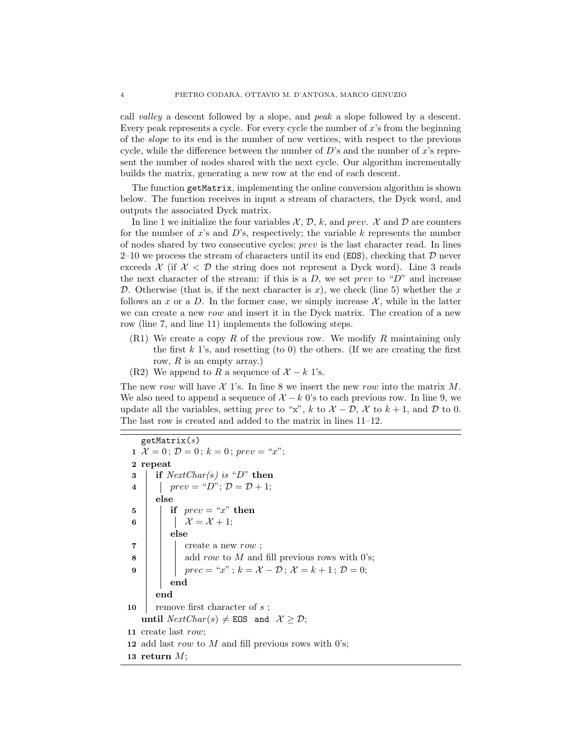call valley a descent followed by a slope, and peak a slope followed by a descent. Every peak represents a cycle. For every cycle the number of  $x$ 's from the beginning of the slope to its end is the number of new vertices, with respect to the previous cycle, while the difference between the number of  $D$ 's and the number of  $x$ 's represent the number of nodes shared with the next cycle. Our algorithm incrementally builds the matrix, generating a new row at the end of each descent.

The function getMatrix, implementing the online conversion algorithm is shown below. The function receives in input a stream of characters, the Dyck word, and outputs the associated Dyck matrix.

In line 1 we initialize the four variables  $\mathcal{X}, \mathcal{D}, k$ , and prev.  $\mathcal{X}$  and  $\mathcal{D}$  are counters for the number of x's and D's, respectively; the variable k represents the number of nodes shared by two consecutive cycles; prev is the last character read. In lines  $2-10$  we process the stream of characters until its end (EOS), checking that  $D$  never exceeds  $\mathcal X$  (if  $\mathcal X  $\mathcal D$  the string does not represent a Dyck word). Line 3 reads$ the next character of the stream: if this is a  $D$ , we set prev to "D" and increase D. Otherwise (that is, if the next character is x), we check (line 5) whether the x follows an x or a D. In the former case, we simply increase  $\mathcal{X}$ , while in the latter we can create a new row and insert it in the Dyck matrix. The creation of a new row (line 7, and line 11) implements the following steps.

- $(R1)$  We create a copy R of the previous row. We modify R maintaining only the first  $k$  1's, and resetting (to 0) the others. (If we are creating the first row,  $R$  is an empty array.)
- (R2) We append to R a sequence of  $\mathcal{X} k$  1's.

The new row will have  $\mathcal X$  1's. In line 8 we insert the new row into the matrix M. We also need to append a sequence of  $\mathcal{X} - k$  0's to each previous row. In line 9, we update all the variables, setting prec to "x", k to  $\mathcal{X} - \mathcal{D}$ ,  $\mathcal{X}$  to  $k + 1$ , and  $\mathcal{D}$  to 0. The last row is created and added to the matrix in lines 11–12.

```
getMatrix(s)1 \mathcal{X} = 0; \mathcal{D} = 0; k = 0; prev = "x";2 repeat
 3 if NextChar(s) is "D" then
 4 | | prev = "D"; \mathcal{D} = \mathcal{D} + 1;else
 5 | | if prev = "x" then
 6 | | | \mathcal{X} = \mathcal{X} + 1;else
 7 \mid \cdot \cdot \cdot \cdot \cdot \cdot create a new row;
 \mathbf{8} | | add row to M and fill previous rows with 0's;
 9 | | prec = "x"; k = \mathcal{X} - \mathcal{D}; \mathcal{X} = k + 1; \mathcal{D} = 0;end
        end
10 m remove first character of s;
    until NextChar(s) \neq EOS and \mathcal{X} \geq \mathcal{D};
11 create last row;
12 add last row to M and fill previous rows with 0's;
13 return M;
```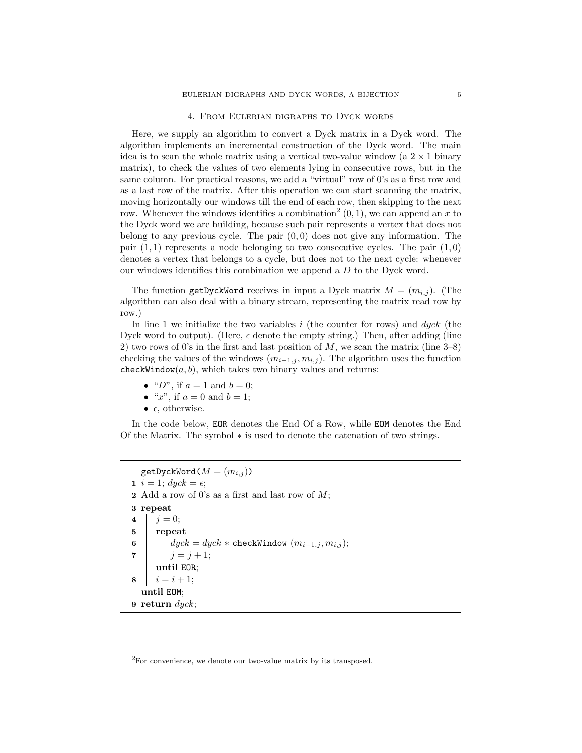### 4. From Eulerian digraphs to Dyck words

Here, we supply an algorithm to convert a Dyck matrix in a Dyck word. The algorithm implements an incremental construction of the Dyck word. The main idea is to scan the whole matrix using a vertical two-value window (a  $2 \times 1$  binary matrix), to check the values of two elements lying in consecutive rows, but in the same column. For practical reasons, we add a "virtual" row of 0's as a first row and as a last row of the matrix. After this operation we can start scanning the matrix, moving horizontally our windows till the end of each row, then skipping to the next row. Whenever the windows identifies a combination<sup>2</sup>  $(0, 1)$ , we can append an x to the Dyck word we are building, because such pair represents a vertex that does not belong to any previous cycle. The pair  $(0, 0)$  does not give any information. The pair  $(1, 1)$  represents a node belonging to two consecutive cycles. The pair  $(1, 0)$ denotes a vertex that belongs to a cycle, but does not to the next cycle: whenever our windows identifies this combination we append a  $D$  to the Dyck word.

The function getDyckWord receives in input a Dyck matrix  $M = (m_{i,j})$ . (The algorithm can also deal with a binary stream, representing the matrix read row by row.)

In line 1 we initialize the two variables  $i$  (the counter for rows) and  $dyck$  (the Dyck word to output). (Here,  $\epsilon$  denote the empty string.) Then, after adding (line 2) two rows of 0's in the first and last position of  $M$ , we scan the matrix (line  $3-8$ ) checking the values of the windows  $(m_{i-1,j}, m_{i,j})$ . The algorithm uses the function checkWindow $(a, b)$ , which takes two binary values and returns:

- " $D$ ", if  $a = 1$  and  $b = 0$ ;
- " $x$ ", if  $a = 0$  and  $b = 1$ ;
- $\epsilon$ , otherwise.

In the code below, EOR denotes the End Of a Row, while EOM denotes the End Of the Matrix. The symbol ∗ is used to denote the catenation of two strings.

 $getDyckWord(M = (m_{i,j}))$ 1  $i = 1$ ;  $dyck = \epsilon$ ; 2 Add a row of 0's as a first and last row of  $M$ ; 3 repeat 4  $j = 0$ ; 5 repeat 6 dyck = dyck \* checkWindow  $(m_{i-1,j}, m_{i,j});$ 7 |  $j = j + 1;$ until EOR;  $8 \mid i = i + 1;$ until EOM; 9 return  $dyck$ ;

 ${}^{2}$ For convenience, we denote our two-value matrix by its transposed.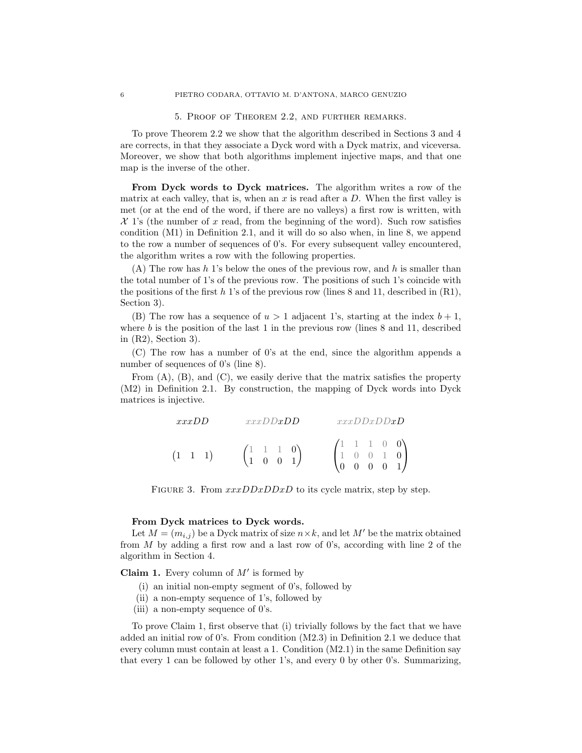5. Proof of Theorem 2.2, and further remarks.

To prove Theorem 2.2 we show that the algorithm described in Sections 3 and 4 are corrects, in that they associate a Dyck word with a Dyck matrix, and viceversa. Moreover, we show that both algorithms implement injective maps, and that one map is the inverse of the other.

From Dyck words to Dyck matrices. The algorithm writes a row of the matrix at each valley, that is, when an  $x$  is read after a  $D$ . When the first valley is met (or at the end of the word, if there are no valleys) a first row is written, with  $\mathcal{X}$  1's (the number of x read, from the beginning of the word). Such row satisfies condition (M1) in Definition 2.1, and it will do so also when, in line 8, we append to the row a number of sequences of 0's. For every subsequent valley encountered, the algorithm writes a row with the following properties.

(A) The row has h 1's below the ones of the previous row, and h is smaller than the total number of 1's of the previous row. The positions of such 1's coincide with the positions of the first h 1's of the previous row (lines 8 and 11, described in  $(R1)$ , Section 3).

(B) The row has a sequence of  $u > 1$  adjacent 1's, starting at the index  $b + 1$ , where  $b$  is the position of the last 1 in the previous row (lines 8 and 11, described in (R2), Section 3).

(C) The row has a number of 0's at the end, since the algorithm appends a number of sequences of 0's (line 8).

From  $(A)$ ,  $(B)$ , and  $(C)$ , we easily derive that the matrix satisfies the property (M2) in Definition 2.1. By construction, the mapping of Dyck words into Dyck matrices is injective.

| xxxDD         | xxxDDxDD                                                       | xxxDDxDDxD                                                                                  |  |
|---------------|----------------------------------------------------------------|---------------------------------------------------------------------------------------------|--|
| $(1 \ 1 \ 1)$ | $\begin{pmatrix} 1 & 1 & 1 & 0 \\ 1 & 0 & 0 & 1 \end{pmatrix}$ | $\begin{pmatrix} 1 & 1 & 1 & 0 & 0 \\ 1 & 0 & 0 & 1 & 0 \\ 0 & 0 & 0 & 0 & 1 \end{pmatrix}$ |  |

FIGURE 3. From  $xxxDDxDDxD$  to its cycle matrix, step by step.

### From Dyck matrices to Dyck words.

Let  $M = (m_{i,j})$  be a Dyck matrix of size  $n \times k$ , and let M' be the matrix obtained from  $M$  by adding a first row and a last row of 0's, according with line 2 of the algorithm in Section 4.

**Claim 1.** Every column of  $M'$  is formed by

- (i) an initial non-empty segment of 0's, followed by
- (ii) a non-empty sequence of 1's, followed by
- (iii) a non-empty sequence of 0's.

To prove Claim 1, first observe that (i) trivially follows by the fact that we have added an initial row of 0's. From condition (M2.3) in Definition 2.1 we deduce that every column must contain at least a 1. Condition (M2.1) in the same Definition say that every 1 can be followed by other 1's, and every 0 by other 0's. Summarizing,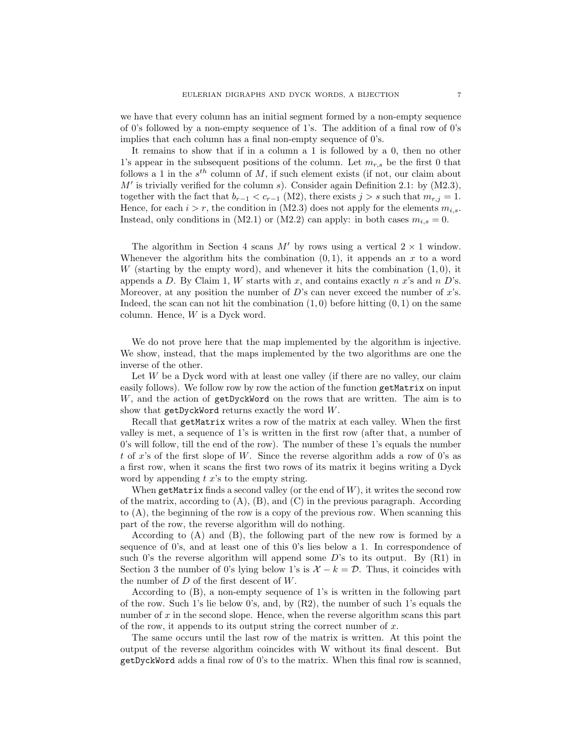we have that every column has an initial segment formed by a non-empty sequence of 0's followed by a non-empty sequence of 1's. The addition of a final row of 0's implies that each column has a final non-empty sequence of 0's.

It remains to show that if in a column a 1 is followed by a 0, then no other 1's appear in the subsequent positions of the column. Let  $m_{r,s}$  be the first 0 that follows a 1 in the  $s^{th}$  column of M, if such element exists (if not, our claim about  $M'$  is trivially verified for the column s). Consider again Definition 2.1: by (M2.3), together with the fact that  $b_{r-1} < c_{r-1}$  (M2), there exists  $j > s$  such that  $m_{r,j} = 1$ . Hence, for each  $i > r$ , the condition in (M2.3) does not apply for the elements  $m_{i,s}$ . Instead, only conditions in (M2.1) or (M2.2) can apply: in both cases  $m_{i,s} = 0$ .

The algorithm in Section 4 scans M' by rows using a vertical  $2 \times 1$  window. Whenever the algorithm hits the combination  $(0, 1)$ , it appends an x to a word W (starting by the empty word), and whenever it hits the combination  $(1, 0)$ , it appends a D. By Claim 1, W starts with x, and contains exactly n x's and n D's. Moreover, at any position the number of  $D$ 's can never exceed the number of  $x$ 's. Indeed, the scan can not hit the combination  $(1, 0)$  before hitting  $(0, 1)$  on the same column. Hence, W is a Dyck word.

We do not prove here that the map implemented by the algorithm is injective. We show, instead, that the maps implemented by the two algorithms are one the inverse of the other.

Let  $W$  be a Dyck word with at least one valley (if there are no valley, our claim easily follows). We follow row by row the action of the function getMatrix on input W, and the action of getDyckWord on the rows that are written. The aim is to show that  $getDyckWord$  returns exactly the word  $W$ .

Recall that getMatrix writes a row of the matrix at each valley. When the first valley is met, a sequence of 1's is written in the first row (after that, a number of 0's will follow, till the end of the row). The number of these 1's equals the number t of x's of the first slope of W. Since the reverse algorithm adds a row of  $0$ 's as a first row, when it scans the first two rows of its matrix it begins writing a Dyck word by appending  $t\ x$ 's to the empty string.

When getMatrix finds a second valley (or the end of  $W$ ), it writes the second row of the matrix, according to  $(A)$ ,  $(B)$ , and  $(C)$  in the previous paragraph. According to (A), the beginning of the row is a copy of the previous row. When scanning this part of the row, the reverse algorithm will do nothing.

According to (A) and (B), the following part of the new row is formed by a sequence of 0's, and at least one of this 0's lies below a 1. In correspondence of such 0's the reverse algorithm will append some  $D$ 's to its output. By  $(R1)$  in Section 3 the number of 0's lying below 1's is  $\mathcal{X} - k = \mathcal{D}$ . Thus, it coincides with the number of  $D$  of the first descent of  $W$ .

According to (B), a non-empty sequence of 1's is written in the following part of the row. Such 1's lie below 0's, and, by (R2), the number of such 1's equals the number of  $x$  in the second slope. Hence, when the reverse algorithm scans this part of the row, it appends to its output string the correct number of  $x$ .

The same occurs until the last row of the matrix is written. At this point the output of the reverse algorithm coincides with W without its final descent. But getDyckWord adds a final row of 0's to the matrix. When this final row is scanned,